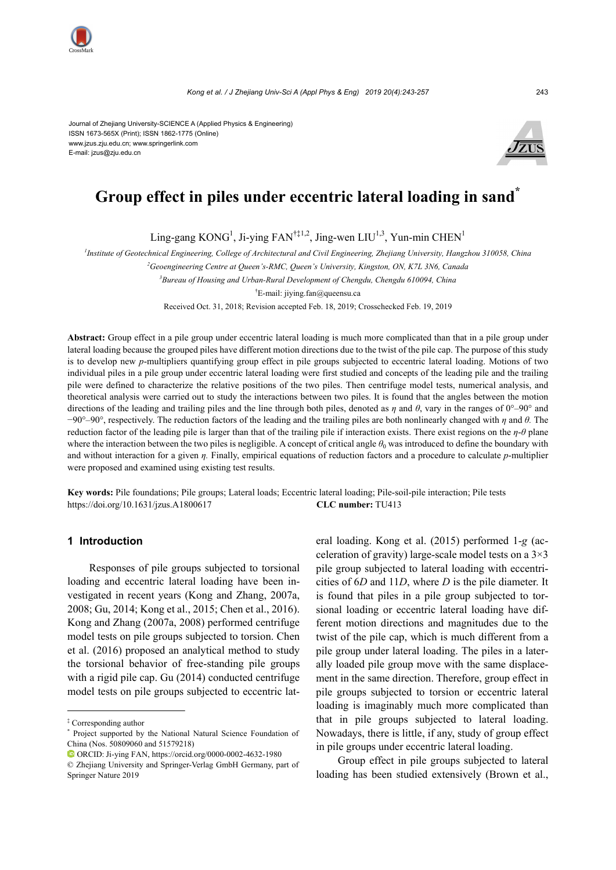Journal of Zhejiang University-SCIENCE A (Applied Physics & Engineering) ISSN 1673-565X (Print); ISSN 1862-1775 (Online) www.jzus.zju.edu.cn; www.springerlink.com E-mail: jzus@zju.edu.cn



# **Group effect in piles under eccentric lateral loading in sand\***

Ling-gang  $KONG<sup>1</sup>$ , Ji-ying FAN<sup>†‡1,2</sup>, Jing-wen LIU<sup>1,3</sup>, Yun-min CHEN<sup>1</sup>

*1 Institute of Geotechnical Engineering, College of Architectural and Civil Engineering, Zhejiang University, Hangzhou 310058, China*

*2 Geoengineering Centre at Queen's-RMC, Queen's University, Kingston, ON, K7L 3N6, Canada* 

*3 Bureau of Housing and Urban-Rural Development of Chengdu, Chengdu 610094, China* 

† E-mail: jiying.fan@queensu.ca

Received Oct. 31, 2018; Revision accepted Feb. 18, 2019; Crosschecked Feb. 19, 2019

**Abstract:** Group effect in a pile group under eccentric lateral loading is much more complicated than that in a pile group under lateral loading because the grouped piles have different motion directions due to the twist of the pile cap. The purpose of this study is to develop new *p*-multipliers quantifying group effect in pile groups subjected to eccentric lateral loading. Motions of two individual piles in a pile group under eccentric lateral loading were first studied and concepts of the leading pile and the trailing pile were defined to characterize the relative positions of the two piles. Then centrifuge model tests, numerical analysis, and theoretical analysis were carried out to study the interactions between two piles. It is found that the angles between the motion directions of the leading and trailing piles and the line through both piles, denoted as *η* and *θ*, vary in the ranges of 0°–90° and −90°–90°, respectively. The reduction factors of the leading and the trailing piles are both nonlinearly changed with *η* and *θ.* The reduction factor of the leading pile is larger than that of the trailing pile if interaction exists. There exist regions on the *η*-*θ* plane where the interaction between the two piles is negligible. A concept of critical angle  $\theta_0$  was introduced to define the boundary with and without interaction for a given *η.* Finally, empirical equations of reduction factors and a procedure to calculate *p*-multiplier were proposed and examined using existing test results.

**Key words:** Pile foundations; Pile groups; Lateral loads; Eccentric lateral loading; Pile-soil-pile interaction; Pile tests https://doi.org/10.1631/jzus.A1800617 **CLC number:** TU413

### **1 Introduction**

Responses of pile groups subjected to torsional loading and eccentric lateral loading have been investigated in recent years (Kong and Zhang, 2007a, 2008; Gu, 2014; Kong et al., 2015; Chen et al., 2016). Kong and Zhang (2007a, 2008) performed centrifuge model tests on pile groups subjected to torsion. Chen et al. (2016) proposed an analytical method to study the torsional behavior of free-standing pile groups with a rigid pile cap. Gu (2014) conducted centrifuge model tests on pile groups subjected to eccentric lateral loading. Kong et al. (2015) performed 1-*g* (acceleration of gravity) large-scale model tests on a 3×3 pile group subjected to lateral loading with eccentricities of 6*D* and 11*D*, where *D* is the pile diameter. It is found that piles in a pile group subjected to torsional loading or eccentric lateral loading have different motion directions and magnitudes due to the twist of the pile cap, which is much different from a pile group under lateral loading. The piles in a laterally loaded pile group move with the same displacement in the same direction. Therefore, group effect in pile groups subjected to torsion or eccentric lateral loading is imaginably much more complicated than that in pile groups subjected to lateral loading. Nowadays, there is little, if any, study of group effect in pile groups under eccentric lateral loading.

Group effect in pile groups subjected to lateral loading has been studied extensively (Brown et al.,

<sup>‡</sup> Corresponding author

<sup>\*</sup> Project supported by the National Natural Science Foundation of China (Nos. 50809060 and 51579218)

ORCID: Ji-ying FAN, https://orcid.org/0000-0002-4632-1980

<sup>©</sup> Zhejiang University and Springer-Verlag GmbH Germany, part of Springer Nature 2019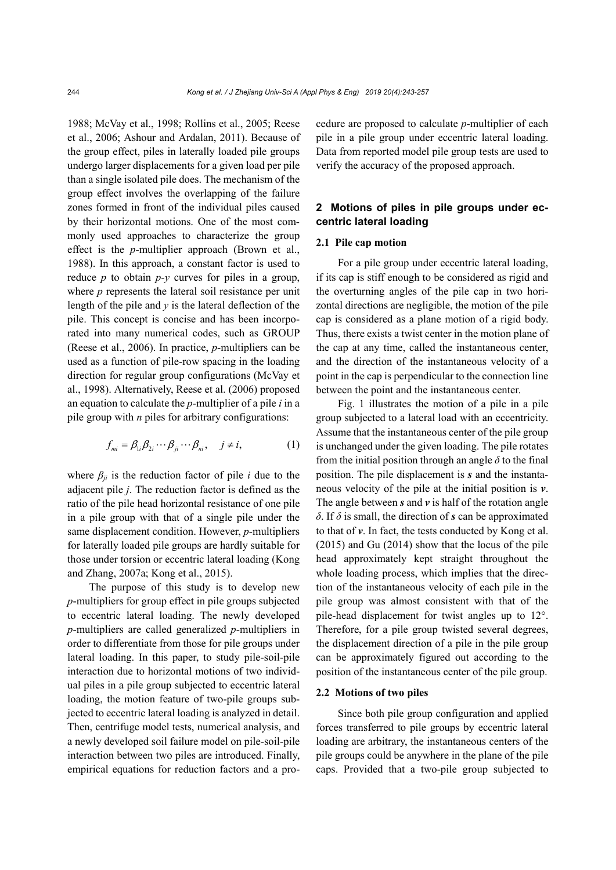1988; McVay et al., 1998; Rollins et al., 2005; Reese et al., 2006; Ashour and Ardalan, 2011). Because of the group effect, piles in laterally loaded pile groups undergo larger displacements for a given load per pile than a single isolated pile does. The mechanism of the group effect involves the overlapping of the failure zones formed in front of the individual piles caused by their horizontal motions. One of the most commonly used approaches to characterize the group effect is the *p*-multiplier approach (Brown et al., 1988). In this approach, a constant factor is used to reduce *p* to obtain *p-y* curves for piles in a group, where *p* represents the lateral soil resistance per unit length of the pile and *y* is the lateral deflection of the pile. This concept is concise and has been incorporated into many numerical codes, such as GROUP (Reese et al., 2006). In practice, *p*-multipliers can be used as a function of pile-row spacing in the loading direction for regular group configurations (McVay et al., 1998). Alternatively, Reese et al. (2006) proposed an equation to calculate the *p-*multiplier of a pile *i* in a pile group with *n* piles for arbitrary configurations:

$$
f_{mi} = \beta_{1i}\beta_{2i}\cdots\beta_{ji}\cdots\beta_{ni}, \quad j \neq i,
$$
 (1)

where  $\beta_{ji}$  is the reduction factor of pile *i* due to the adjacent pile *j*. The reduction factor is defined as the ratio of the pile head horizontal resistance of one pile in a pile group with that of a single pile under the same displacement condition. However, *p*-multipliers for laterally loaded pile groups are hardly suitable for those under torsion or eccentric lateral loading (Kong and Zhang, 2007a; Kong et al., 2015).

The purpose of this study is to develop new *p*-multipliers for group effect in pile groups subjected to eccentric lateral loading. The newly developed *p*-multipliers are called generalized *p*-multipliers in order to differentiate from those for pile groups under lateral loading. In this paper, to study pile-soil-pile interaction due to horizontal motions of two individual piles in a pile group subjected to eccentric lateral loading, the motion feature of two-pile groups subjected to eccentric lateral loading is analyzed in detail. Then, centrifuge model tests, numerical analysis, and a newly developed soil failure model on pile-soil-pile interaction between two piles are introduced. Finally, empirical equations for reduction factors and a procedure are proposed to calculate *p*-multiplier of each pile in a pile group under eccentric lateral loading. Data from reported model pile group tests are used to verify the accuracy of the proposed approach.

### **2 Motions of piles in pile groups under eccentric lateral loading**

### **2.1 Pile cap motion**

For a pile group under eccentric lateral loading, if its cap is stiff enough to be considered as rigid and the overturning angles of the pile cap in two horizontal directions are negligible, the motion of the pile cap is considered as a plane motion of a rigid body. Thus, there exists a twist center in the motion plane of the cap at any time, called the instantaneous center, and the direction of the instantaneous velocity of a point in the cap is perpendicular to the connection line between the point and the instantaneous center.

Fig. 1 illustrates the motion of a pile in a pile group subjected to a lateral load with an eccentricity. Assume that the instantaneous center of the pile group is unchanged under the given loading. The pile rotates from the initial position through an angle  $\delta$  to the final position. The pile displacement is *s* and the instantaneous velocity of the pile at the initial position is *v*. The angle between *s* and *v* is half of the rotation angle *δ*. If *δ* is small, the direction of *s* can be approximated to that of *v*. In fact, the tests conducted by Kong et al. (2015) and Gu (2014) show that the locus of the pile head approximately kept straight throughout the whole loading process, which implies that the direction of the instantaneous velocity of each pile in the pile group was almost consistent with that of the pile-head displacement for twist angles up to 12°. Therefore, for a pile group twisted several degrees, the displacement direction of a pile in the pile group can be approximately figured out according to the position of the instantaneous center of the pile group.

### **2.2 Motions of two piles**

Since both pile group configuration and applied forces transferred to pile groups by eccentric lateral loading are arbitrary, the instantaneous centers of the pile groups could be anywhere in the plane of the pile caps. Provided that a two-pile group subjected to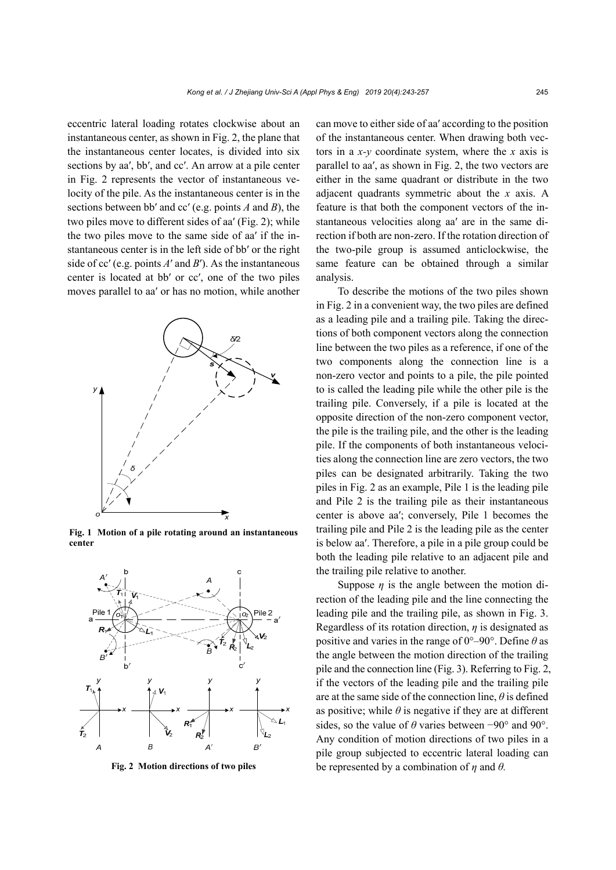eccentric lateral loading rotates clockwise about an instantaneous center, as shown in Fig. 2, the plane that the instantaneous center locates, is divided into six sections by aa′, bb′, and cc′. An arrow at a pile center in Fig. 2 represents the vector of instantaneous velocity of the pile. As the instantaneous center is in the sections between bb′ and cc′ (e.g. points *A* and *B*), the two piles move to different sides of aa′ (Fig. 2); while the two piles move to the same side of aa′ if the instantaneous center is in the left side of bb′ or the right side of cc′ (e.g. points *A*′ and *B*′). As the instantaneous center is located at bb′ or cc′, one of the two piles moves parallel to aa′ or has no motion, while another



**Fig. 1 Motion of a pile rotating around an instantaneous center**



can move to either side of aa′ according to the position of the instantaneous center. When drawing both vectors in a *x-y* coordinate system, where the *x* axis is parallel to aa′, as shown in Fig. 2, the two vectors are either in the same quadrant or distribute in the two adjacent quadrants symmetric about the *x* axis. A feature is that both the component vectors of the instantaneous velocities along aa′ are in the same direction if both are non-zero. If the rotation direction of the two-pile group is assumed anticlockwise, the same feature can be obtained through a similar analysis.

To describe the motions of the two piles shown in Fig. 2 in a convenient way, the two piles are defined as a leading pile and a trailing pile. Taking the directions of both component vectors along the connection line between the two piles as a reference, if one of the two components along the connection line is a non-zero vector and points to a pile, the pile pointed to is called the leading pile while the other pile is the trailing pile. Conversely, if a pile is located at the opposite direction of the non-zero component vector, the pile is the trailing pile, and the other is the leading pile. If the components of both instantaneous velocities along the connection line are zero vectors, the two piles can be designated arbitrarily. Taking the two piles in Fig. 2 as an example, Pile 1 is the leading pile and Pile 2 is the trailing pile as their instantaneous center is above aa′; conversely, Pile 1 becomes the trailing pile and Pile 2 is the leading pile as the center is below aa′. Therefore, a pile in a pile group could be both the leading pile relative to an adjacent pile and the trailing pile relative to another.

Suppose *η* is the angle between the motion direction of the leading pile and the line connecting the leading pile and the trailing pile, as shown in Fig. 3. Regardless of its rotation direction, *η* is designated as positive and varies in the range of 0°–90°. Define *θ* as the angle between the motion direction of the trailing pile and the connection line (Fig. 3). Referring to Fig. 2, if the vectors of the leading pile and the trailing pile are at the same side of the connection line, *θ* is defined as positive; while  $\theta$  is negative if they are at different sides, so the value of *θ* varies between −90° and 90°. Any condition of motion directions of two piles in a pile group subjected to eccentric lateral loading can **Fig. 2 Motion directions of two piles** be represented by a combination of *η* and *θ.*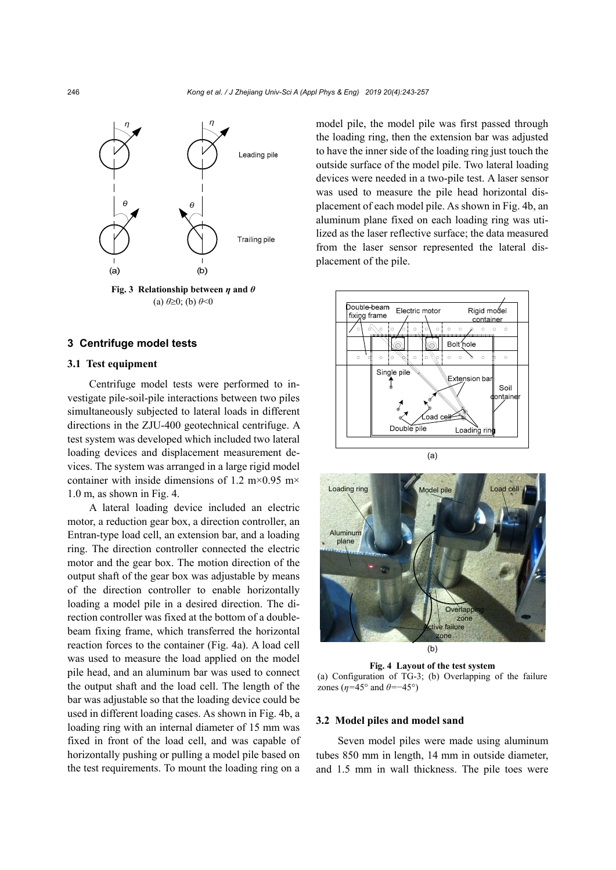

 $(a) \theta \ge 0$ ; (b)  $\theta \le 0$ 

### **3 Centrifuge model tests**

### **3.1 Test equipment**

Centrifuge model tests were performed to investigate pile-soil-pile interactions between two piles simultaneously subjected to lateral loads in different directions in the ZJU-400 geotechnical centrifuge. A test system was developed which included two lateral loading devices and displacement measurement devices. The system was arranged in a large rigid model container with inside dimensions of 1.2 m×0.95 m× 1.0 m, as shown in Fig. 4.

A lateral loading device included an electric motor, a reduction gear box, a direction controller, an Entran-type load cell, an extension bar, and a loading ring. The direction controller connected the electric motor and the gear box. The motion direction of the output shaft of the gear box was adjustable by means of the direction controller to enable horizontally loading a model pile in a desired direction. The direction controller was fixed at the bottom of a doublebeam fixing frame, which transferred the horizontal reaction forces to the container (Fig. 4a). A load cell was used to measure the load applied on the model pile head, and an aluminum bar was used to connect the output shaft and the load cell. The length of the bar was adjustable so that the loading device could be used in different loading cases. As shown in Fig. 4b, a loading ring with an internal diameter of 15 mm was fixed in front of the load cell, and was capable of horizontally pushing or pulling a model pile based on the test requirements. To mount the loading ring on a model pile, the model pile was first passed through the loading ring, then the extension bar was adjusted to have the inner side of the loading ring just touch the outside surface of the model pile. Two lateral loading devices were needed in a two-pile test. A laser sensor was used to measure the pile head horizontal displacement of each model pile. As shown in Fig. 4b, an aluminum plane fixed on each loading ring was utilized as the laser reflective surface; the data measured from the laser sensor represented the lateral displacement of the pile.





(b)

**Fig. 4 Layout of the test system**  (a) Configuration of TG-3; (b) Overlapping of the failure zones ( $n=45^\circ$  and  $\theta=-45^\circ$ )

### **3.2 Model piles and model sand**

Seven model piles were made using aluminum tubes 850 mm in length, 14 mm in outside diameter, and 1.5 mm in wall thickness. The pile toes were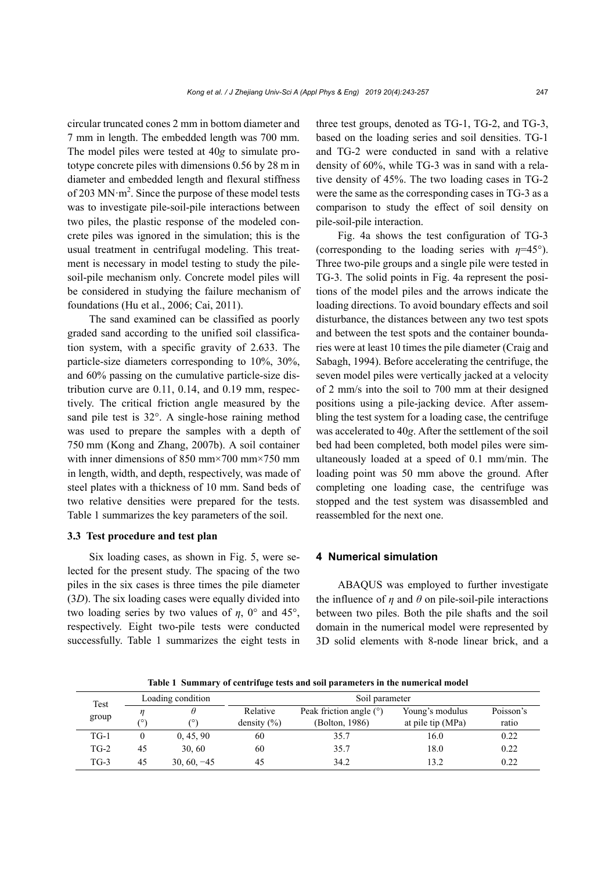circular truncated cones 2 mm in bottom diameter and 7 mm in length. The embedded length was 700 mm. The model piles were tested at 40*g* to simulate prototype concrete piles with dimensions 0.56 by 28 m in diameter and embedded length and flexural stiffness of 203 MN $\cdot$ m<sup>2</sup>. Since the purpose of these model tests was to investigate pile-soil-pile interactions between two piles, the plastic response of the modeled concrete piles was ignored in the simulation; this is the usual treatment in centrifugal modeling. This treatment is necessary in model testing to study the pilesoil-pile mechanism only. Concrete model piles will be considered in studying the failure mechanism of foundations (Hu et al., 2006; Cai, 2011).

The sand examined can be classified as poorly graded sand according to the unified soil classification system, with a specific gravity of 2.633. The particle-size diameters corresponding to 10%, 30%, and 60% passing on the cumulative particle-size distribution curve are 0.11, 0.14, and 0.19 mm, respectively. The critical friction angle measured by the sand pile test is 32°. A single-hose raining method was used to prepare the samples with a depth of 750 mm (Kong and Zhang, 2007b). A soil container with inner dimensions of 850 mm×700 mm×750 mm in length, width, and depth, respectively, was made of steel plates with a thickness of 10 mm. Sand beds of two relative densities were prepared for the tests. Table 1 summarizes the key parameters of the soil.

### **3.3 Test procedure and test plan**

Six loading cases, as shown in Fig. 5, were selected for the present study. The spacing of the two piles in the six cases is three times the pile diameter (3*D*). The six loading cases were equally divided into two loading series by two values of *η*, 0° and 45°, respectively. Eight two-pile tests were conducted successfully. Table 1 summarizes the eight tests in

three test groups, denoted as TG-1, TG-2, and TG-3, based on the loading series and soil densities. TG-1 and TG-2 were conducted in sand with a relative density of 60%, while TG-3 was in sand with a relative density of 45%. The two loading cases in TG-2 were the same as the corresponding cases in TG-3 as a comparison to study the effect of soil density on pile-soil-pile interaction.

Fig. 4a shows the test configuration of TG-3 (corresponding to the loading series with *η*=45°). Three two-pile groups and a single pile were tested in TG-3. The solid points in Fig. 4a represent the positions of the model piles and the arrows indicate the loading directions. To avoid boundary effects and soil disturbance, the distances between any two test spots and between the test spots and the container boundaries were at least 10 times the pile diameter (Craig and Sabagh, 1994). Before accelerating the centrifuge, the seven model piles were vertically jacked at a velocity of 2 mm/s into the soil to 700 mm at their designed positions using a pile-jacking device. After assembling the test system for a loading case, the centrifuge was accelerated to 40*g*. After the settlement of the soil bed had been completed, both model piles were simultaneously loaded at a speed of 0.1 mm/min. The loading point was 50 mm above the ground. After completing one loading case, the centrifuge was stopped and the test system was disassembled and reassembled for the next one.

### **4 Numerical simulation**

ABAQUS was employed to further investigate the influence of  $\eta$  and  $\theta$  on pile-soil-pile interactions between two piles. Both the pile shafts and the soil domain in the numerical model were represented by 3D solid elements with 8-node linear brick, and a

**Table 1 Summary of centrifuge tests and soil parameters in the numerical model** 

| Test<br>group | Loading condition |               | Soil parameter  |                           |                   |           |  |
|---------------|-------------------|---------------|-----------------|---------------------------|-------------------|-----------|--|
|               |                   | Relative      |                 | Peak friction angle $(°)$ | Young's modulus   | Poisson's |  |
|               | ۷Ο,               | 70)           | density $(\% )$ | (Bolton, 1986)            | at pile tip (MPa) | ratio     |  |
| $TG-1$        |                   | 0, 45, 90     | 60              | 35.7                      | 16.0              | 0.22      |  |
| $T$ G-2       | 45                | 30.60         | 60              | 35.7                      | 18.0              | 0.22      |  |
| $TG-3$        | 45                | $30, 60, -45$ | 45              | 34.2                      | 132               | 0.22      |  |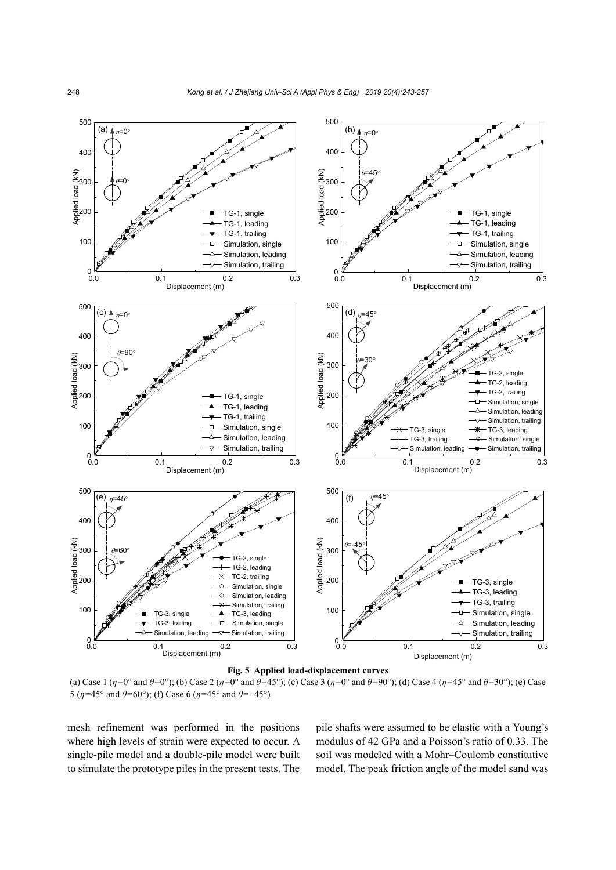

(a) Case 1  $(\eta = 0^{\circ} \text{ and } \theta = 0^{\circ})$ ; (b) Case 2  $(\eta = 0^{\circ} \text{ and } \theta = 45^{\circ})$ ; (c) Case 3  $(\eta = 0^{\circ} \text{ and } \theta = 90^{\circ})$ ; (d) Case 4  $(\eta = 45^{\circ} \text{ and } \theta = 30^{\circ})$ ; (e) Case 5 ( $\eta$ =45° and  $\theta$ =60°); (f) Case 6 ( $\eta$ =45° and  $\theta$ =−45°)

mesh refinement was performed in the positions where high levels of strain were expected to occur. A single-pile model and a double-pile model were built to simulate the prototype piles in the present tests. The pile shafts were assumed to be elastic with a Young's modulus of 42 GPa and a Poisson's ratio of 0.33. The soil was modeled with a Mohr–Coulomb constitutive model. The peak friction angle of the model sand was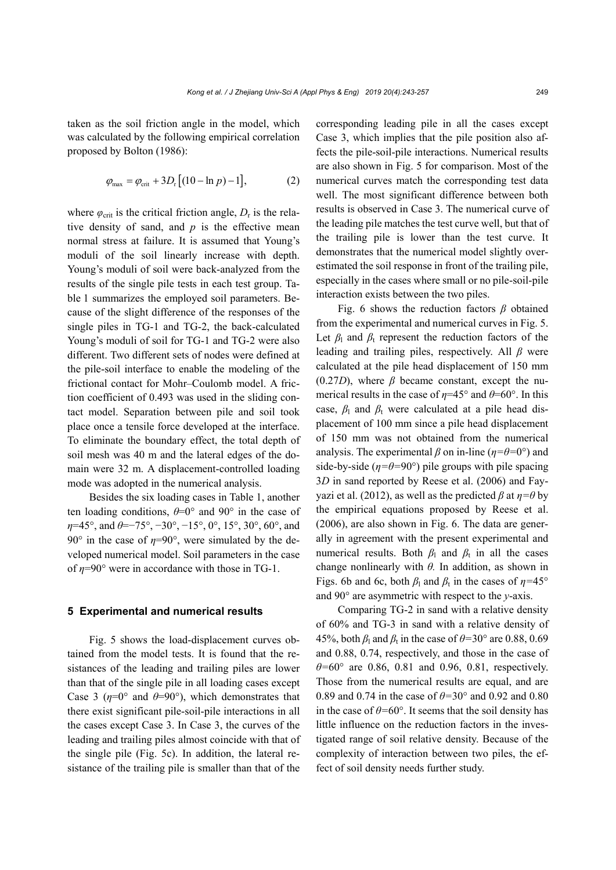taken as the soil friction angle in the model, which was calculated by the following empirical correlation proposed by Bolton (1986):

$$
\varphi_{\text{max}} = \varphi_{\text{crit}} + 3D_{\text{r}} \left[ (10 - \ln p) - 1 \right],\tag{2}
$$

where  $\varphi_{\text{crit}}$  is the critical friction angle,  $D_r$  is the relative density of sand, and  $p$  is the effective mean normal stress at failure. It is assumed that Young's moduli of the soil linearly increase with depth. Young's moduli of soil were back-analyzed from the results of the single pile tests in each test group. Table 1 summarizes the employed soil parameters. Because of the slight difference of the responses of the single piles in TG-1 and TG-2, the back-calculated Young's moduli of soil for TG-1 and TG-2 were also different. Two different sets of nodes were defined at the pile-soil interface to enable the modeling of the frictional contact for Mohr–Coulomb model. A friction coefficient of 0.493 was used in the sliding contact model. Separation between pile and soil took place once a tensile force developed at the interface. To eliminate the boundary effect, the total depth of soil mesh was 40 m and the lateral edges of the domain were 32 m. A displacement-controlled loading mode was adopted in the numerical analysis.

Besides the six loading cases in Table 1, another ten loading conditions,  $\theta = 0^{\circ}$  and  $90^{\circ}$  in the case of *η*=45°, and *θ*=−75°, −30°, −15°, 0°, 15°, 30°, 60°, and 90 $\degree$  in the case of  $\eta$ =90 $\degree$ , were simulated by the developed numerical model. Soil parameters in the case of *η*=90° were in accordance with those in TG-1.

### **5 Experimental and numerical results**

Fig. 5 shows the load-displacement curves obtained from the model tests. It is found that the resistances of the leading and trailing piles are lower than that of the single pile in all loading cases except Case 3 ( $\eta$ =0° and  $\theta$ =90°), which demonstrates that there exist significant pile-soil-pile interactions in all the cases except Case 3. In Case 3, the curves of the leading and trailing piles almost coincide with that of the single pile (Fig. 5c). In addition, the lateral resistance of the trailing pile is smaller than that of the corresponding leading pile in all the cases except Case 3, which implies that the pile position also affects the pile-soil-pile interactions. Numerical results are also shown in Fig. 5 for comparison. Most of the numerical curves match the corresponding test data well. The most significant difference between both results is observed in Case 3. The numerical curve of the leading pile matches the test curve well, but that of the trailing pile is lower than the test curve. It demonstrates that the numerical model slightly overestimated the soil response in front of the trailing pile, especially in the cases where small or no pile-soil-pile interaction exists between the two piles.

Fig. 6 shows the reduction factors *β* obtained from the experimental and numerical curves in Fig. 5. Let  $\beta_1$  and  $\beta_t$  represent the reduction factors of the leading and trailing piles, respectively. All *β* were calculated at the pile head displacement of 150 mm  $(0.27D)$ , where  $\beta$  became constant, except the numerical results in the case of *η*=45° and *θ*=60°. In this case,  $\beta_1$  and  $\beta_t$  were calculated at a pile head displacement of 100 mm since a pile head displacement of 150 mm was not obtained from the numerical analysis. The experimental  $\beta$  on in-line ( $\eta = \theta = 0^{\circ}$ ) and side-by-side ( $\eta = \theta = 90^{\circ}$ ) pile groups with pile spacing 3*D* in sand reported by Reese et al. (2006) and Fayyazi et al. (2012), as well as the predicted  $\beta$  at  $\eta = \theta$  by the empirical equations proposed by Reese et al. (2006), are also shown in Fig. 6. The data are generally in agreement with the present experimental and numerical results. Both  $\beta_1$  and  $\beta_2$  in all the cases change nonlinearly with *θ.* In addition, as shown in Figs. 6b and 6c, both  $\beta_1$  and  $\beta_1$  in the cases of  $\eta = 45^\circ$ and 90° are asymmetric with respect to the *y*-axis.

Comparing TG-2 in sand with a relative density of 60% and TG-3 in sand with a relative density of 45%, both  $\beta_1$  and  $\beta_t$  in the case of  $\theta$ =30° are 0.88, 0.69 and 0.88, 0.74, respectively, and those in the case of *θ=*60° are 0.86, 0.81 and 0.96, 0.81, respectively. Those from the numerical results are equal, and are 0.89 and 0.74 in the case of *θ=*30° and 0.92 and 0.80 in the case of  $\theta$ =60°. It seems that the soil density has little influence on the reduction factors in the investigated range of soil relative density. Because of the complexity of interaction between two piles, the effect of soil density needs further study.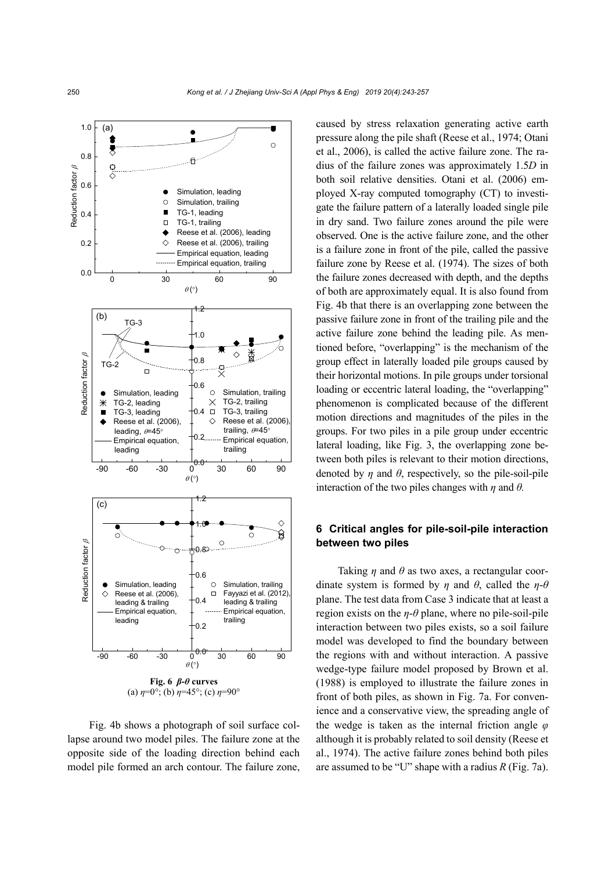

Fig. 4b shows a photograph of soil surface collapse around two model piles. The failure zone at the opposite side of the loading direction behind each model pile formed an arch contour. The failure zone,

caused by stress relaxation generating active earth pressure along the pile shaft (Reese et al., 1974; Otani et al., 2006), is called the active failure zone. The radius of the failure zones was approximately 1.5*D* in both soil relative densities. Otani et al. (2006) employed X-ray computed tomography (CT) to investigate the failure pattern of a laterally loaded single pile in dry sand. Two failure zones around the pile were observed. One is the active failure zone, and the other is a failure zone in front of the pile, called the passive failure zone by Reese et al. (1974). The sizes of both the failure zones decreased with depth, and the depths of both are approximately equal. It is also found from Fig. 4b that there is an overlapping zone between the passive failure zone in front of the trailing pile and the active failure zone behind the leading pile. As mentioned before, "overlapping" is the mechanism of the group effect in laterally loaded pile groups caused by their horizontal motions. In pile groups under torsional loading or eccentric lateral loading, the "overlapping" phenomenon is complicated because of the different motion directions and magnitudes of the piles in the groups. For two piles in a pile group under eccentric lateral loading, like Fig. 3, the overlapping zone between both piles is relevant to their motion directions, denoted by *n* and  $\theta$ , respectively, so the pile-soil-pile interaction of the two piles changes with *η* and *θ.* 

### **6 Critical angles for pile-soil-pile interaction between two piles**

Taking *η* and *θ* as two axes, a rectangular coordinate system is formed by *η* and *θ*, called the *η*-*θ* plane. The test data from Case 3 indicate that at least a region exists on the  $\eta$ - $\theta$  plane, where no pile-soil-pile interaction between two piles exists, so a soil failure model was developed to find the boundary between the regions with and without interaction. A passive wedge-type failure model proposed by Brown et al. (1988) is employed to illustrate the failure zones in front of both piles, as shown in Fig. 7a. For convenience and a conservative view, the spreading angle of the wedge is taken as the internal friction angle *φ* although it is probably related to soil density (Reese et al., 1974). The active failure zones behind both piles are assumed to be "U" shape with a radius *R* (Fig. 7a).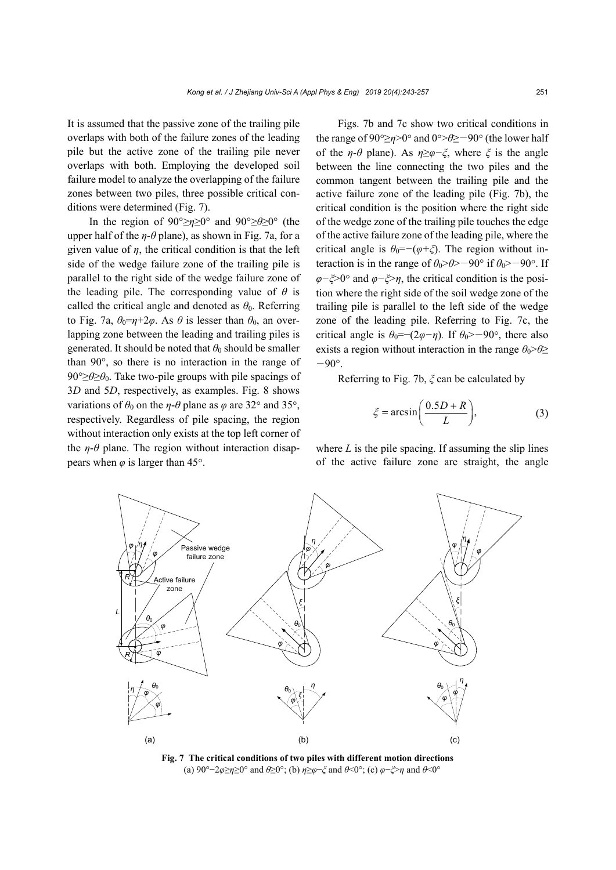It is assumed that the passive zone of the trailing pile overlaps with both of the failure zones of the leading pile but the active zone of the trailing pile never overlaps with both. Employing the developed soil failure model to analyze the overlapping of the failure zones between two piles, three possible critical conditions were determined (Fig. 7).

In the region of 90°≥*η*≥0° and 90°≥*θ*≥0° (the upper half of the *η*-*θ* plane), as shown in Fig. 7a, for a given value of  $\eta$ , the critical condition is that the left side of the wedge failure zone of the trailing pile is parallel to the right side of the wedge failure zone of the leading pile. The corresponding value of  $\theta$  is called the critical angle and denoted as  $\theta_0$ . Referring to Fig. 7a,  $\theta_0 = \eta + 2\varphi$ . As  $\theta$  is lesser than  $\theta_0$ , an overlapping zone between the leading and trailing piles is generated. It should be noted that  $\theta_0$  should be smaller than 90°, so there is no interaction in the range of 90°≥*θ*≥*θ*0. Take two-pile groups with pile spacings of 3*D* and 5*D*, respectively, as examples. Fig. 8 shows variations of  $\theta_0$  on the *η*-*θ* plane as  $\varphi$  are 32° and 35°, respectively. Regardless of pile spacing, the region without interaction only exists at the top left corner of the  $\eta$ - $\theta$  plane. The region without interaction disappears when  $\varphi$  is larger than 45°.

Figs. 7b and 7c show two critical conditions in the range of 90°≥*η*>0° and 0°>θ≥−90° (the lower half of the *η*-*θ* plane). As  $\eta \geq \varphi - \xi$ , where  $\xi$  is the angle between the line connecting the two piles and the common tangent between the trailing pile and the active failure zone of the leading pile (Fig. 7b), the critical condition is the position where the right side of the wedge zone of the trailing pile touches the edge of the active failure zone of the leading pile, where the critical angle is  $\theta_0 = -(\varphi + \xi)$ . The region without interaction is in the range of  $\theta_0$ > $\theta$ > $-90^\circ$  if  $\theta_0$ > $-90^\circ$ . If *φ*−*ξ*>0° and *φ*−*ξ*>*η*, the critical condition is the position where the right side of the soil wedge zone of the trailing pile is parallel to the left side of the wedge zone of the leading pile. Referring to Fig. 7c, the critical angle is  $\theta_0 = -(2\varphi - \eta)$ . If  $\theta_0 > -90^\circ$ , there also exists a region without interaction in the range  $\theta_0$ > $\theta$ ≥  $-90^\circ$ .

Referring to Fig. 7b, *ξ* can be calculated by

$$
\xi = \arcsin\left(\frac{0.5D + R}{L}\right),\tag{3}
$$

where  $L$  is the pile spacing. If assuming the slip lines of the active failure zone are straight, the angle



**Fig. 7 The critical conditions of two piles with different motion directions**  (a) 90°−2*φ*≥*η*≥0° and *θ*≥0°; (b) *η*≥*φ*−*ξ* and *θ*<0°; (c) *φ*−*ξ*>*η* and *θ*<0°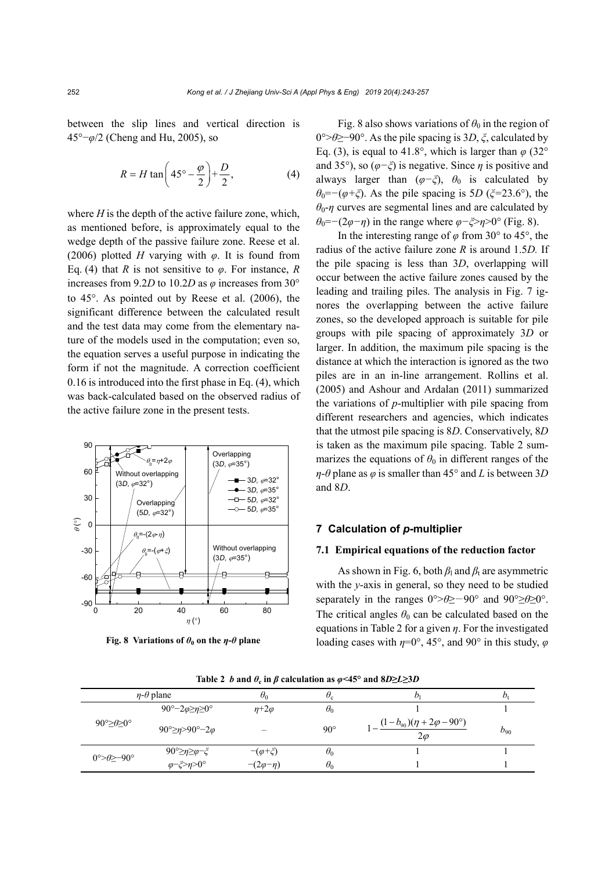between the slip lines and vertical direction is 45°−*φ*/2 (Cheng and Hu, 2005), so

$$
R = H \tan\left(45^\circ - \frac{\varphi}{2}\right) + \frac{D}{2},\tag{4}
$$

where *H* is the depth of the active failure zone, which, as mentioned before, is approximately equal to the wedge depth of the passive failure zone. Reese et al. (2006) plotted *H* varying with *φ*. It is found from Eq. (4) that *R* is not sensitive to *φ*. For instance, *R* increases from 9.2*D* to 10.2*D* as *φ* increases from 30° to  $45^\circ$ . As pointed out by Reese et al.  $(2006)$ , the significant difference between the calculated result and the test data may come from the elementary nature of the models used in the computation; even so, the equation serves a useful purpose in indicating the form if not the magnitude. A correction coefficient 0.16 is introduced into the first phase in Eq. (4), which was back-calculated based on the observed radius of the active failure zone in the present tests.



**Fig. 8 Variations of**  $\theta_0$  **on the**  $\eta$ **-** $\theta$  **plane** 

Fig. 8 also shows variations of  $\theta_0$  in the region of 0°>*θ*≥−90°. As the pile spacing is 3*D*, *ξ*, calculated by Eq. (3), is equal to 41.8°, which is larger than  $\varphi$  (32° and 35°), so (*φ−ξ*) is negative. Since *η* is positive and always larger than  $(\varphi-\xi)$ ,  $\theta_0$  is calculated by  $θ$ <sup>0</sup>=−(*φ*+*ξ*). As the pile spacing is 5*D* (*ξ*=23.6°), the  $\theta_0$ -*η* curves are segmental lines and are calculated by *θ*<sub>0</sub>=−(2*φ−η*) in the range where *φ*−*ξ*>*η*>0° (Fig. 8).

In the interesting range of  $\varphi$  from 30° to 45°, the radius of the active failure zone *R* is around 1.5*D.* If the pile spacing is less than 3*D*, overlapping will occur between the active failure zones caused by the leading and trailing piles. The analysis in Fig. 7 ignores the overlapping between the active failure zones, so the developed approach is suitable for pile groups with pile spacing of approximately 3*D* or larger. In addition, the maximum pile spacing is the distance at which the interaction is ignored as the two piles are in an in-line arrangement. Rollins et al. (2005) and Ashour and Ardalan (2011) summarized the variations of *p*-multiplier with pile spacing from different researchers and agencies, which indicates that the utmost pile spacing is 8*D*. Conservatively, 8*D* is taken as the maximum pile spacing. Table 2 summarizes the equations of  $\theta_0$  in different ranges of the *η*-*θ* plane as *φ* is smaller than 45° and *L* is between 3*D* and 8*D*.

### **7 Calculation of** *p***-multiplier**

### **7.1 Empirical equations of the reduction factor**

As shown in Fig. 6, both  $\beta_1$  and  $\beta_2$  are asymmetric with the *y*-axis in general, so they need to be studied separately in the ranges 0°>*θ*≥−90° and 90°≥*θ*≥0°. The critical angles  $\theta_0$  can be calculated based on the equations in Table 2 for a given *η*. For the investigated loading cases with *η*=0°, 45°, and 90° in this study, *φ*

|                                         | $\eta$ - $\theta$ plane          | $\theta_0$         | $\sigma_{\rm c}$ | Dı                                                       | $D_{t}$  |
|-----------------------------------------|----------------------------------|--------------------|------------------|----------------------------------------------------------|----------|
| $90^{\circ} \geq \theta \geq 0^{\circ}$ | 90°–2 $\varphi \ge \eta \ge 0$ ° | $n+2\varphi$       | $\theta_0$       |                                                          |          |
|                                         | 90° $\geq$ n>90° $-2\varphi$     |                    | $90^{\circ}$     | $(1-b_{90})(\eta + 2\varphi - 90^{\circ})$<br>$2\varphi$ | $b_{90}$ |
| $0^{\circ}$ = 90°                       | 90°≥η≥φ−ξ                        | $-(\varphi + \xi)$ | $\theta_0$       |                                                          |          |
|                                         | $\varphi-\xi>\eta>0^\circ$       | $-(2\varphi-\eta)$ | $\theta_0$       |                                                          |          |

**Table 2** *b* and  $\theta_c$  in  $\beta$  calculation as  $\phi$ <45° and 8*D* $\geq$ *L* $\geq$ 3*D*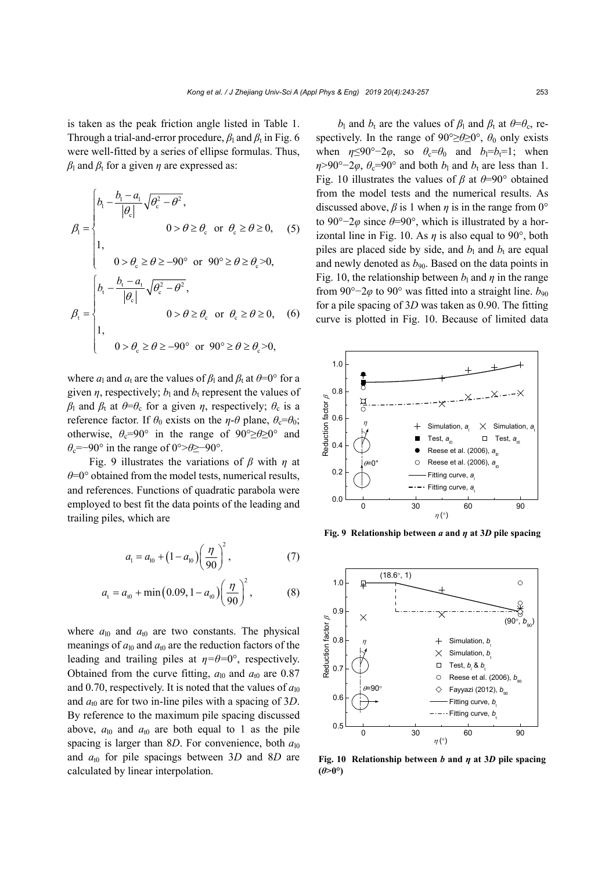is taken as the peak friction angle listed in Table 1. Through a trial-and-error procedure,  $\beta_1$  and  $\beta_t$  in Fig. 6 were well-fitted by a series of ellipse formulas. Thus,  $β$ <sub>l</sub> and  $β$ <sub>t</sub> for a given *η* are expressed as:

$$
\beta_{1} = \begin{cases}\nb_{1} - \frac{b_{1} - a_{1}}{|\theta_{c}|} \sqrt{\theta_{c}^{2} - \theta^{2}}, \\
0 > \theta \ge \theta_{c} \text{ or } \theta_{c} \ge \theta \ge 0, \\
1, \\
0 > \theta_{c} \ge \theta \ge -90^{\circ} \text{ or } 90^{\circ} \ge \theta \ge \theta_{c} > 0,\n\end{cases}
$$
\n
$$
\beta_{1} = \begin{cases}\nb_{1} - \frac{b_{1} - a_{1}}{|\theta_{c}|} \sqrt{\theta_{c}^{2} - \theta^{2}}, \\
0 > \theta \ge \theta_{c} \text{ or } \theta_{c} \ge \theta \ge 0, \\
1, \\
0 > \theta_{c} \ge \theta \ge -90^{\circ} \text{ or } 90^{\circ} \ge \theta \ge \theta_{c} > 0,\n\end{cases}
$$

where  $a_1$  and  $a_t$  are the values of  $\beta_1$  and  $\beta_t$  at  $\theta = 0^\circ$  for a given  $\eta$ , respectively;  $b_1$  and  $b_t$  represent the values of *β*<sub>l</sub> and *β*<sub>t</sub> at  $\theta = \theta_c$  for a given *η*, respectively;  $\theta_c$  is a reference factor. If  $\theta_0$  exists on the *η*-*θ* plane,  $\theta_c = \theta_0$ ; otherwise,  $\theta_c$ =90° in the range of 90°≥ $\theta$ ≥0° and *θ*c=−90° in the range of 0°>*θ*≥−90°.

Fig. 9 illustrates the variations of *β* with *η* at *θ*=0° obtained from the model tests, numerical results, and references. Functions of quadratic parabola were employed to best fit the data points of the leading and trailing piles, which are

$$
a_1 = a_{10} + (1 - a_{10}) \left(\frac{\eta}{90}\right)^2, \tag{7}
$$

$$
a_{t} = a_{t0} + \min(0.09, 1 - a_{t0}) \left(\frac{\eta}{90}\right)^{2}, \tag{8}
$$

where  $a_{10}$  and  $a_{10}$  are two constants. The physical meanings of  $a_{10}$  and  $a_{10}$  are the reduction factors of the leading and trailing piles at  $\eta = \theta = 0^{\circ}$ , respectively. Obtained from the curve fitting,  $a_{10}$  and  $a_{10}$  are 0.87 and 0.70, respectively. It is noted that the values of  $a_{10}$ and  $a_{t0}$  are for two in-line piles with a spacing of 3*D*. By reference to the maximum pile spacing discussed above,  $a_{10}$  and  $a_{10}$  are both equal to 1 as the pile spacing is larger than 8*D*. For convenience, both  $a_{10}$ and  $a_{t0}$  for pile spacings between 3*D* and 8*D* are calculated by linear interpolation.

*b*<sub>l</sub> and *b*<sub>t</sub> are the values of *β*<sub>l</sub> and *β*<sub>t</sub> at  $\theta = \theta_c$ , respectively. In the range of  $90^{\circ} \ge \theta \ge 0^{\circ}$ ,  $\theta_0$  only exists when  $\eta \leq 90^\circ - 2\varphi$ , so  $\theta_c = \theta_0$  and  $b_l = b_l = 1$ ; when  $\eta$ >90°−2*φ*,  $\theta$ <sub>c</sub>=90° and both *b*<sub>l</sub> and *b*<sub>t</sub> are less than 1. Fig. 10 illustrates the values of *β* at *θ*=90° obtained from the model tests and the numerical results. As discussed above,  $\beta$  is 1 when  $\eta$  is in the range from 0° to 90°−2*φ* since *θ*=90°, which is illustrated by a horizontal line in Fig. 10. As  $\eta$  is also equal to 90 $^{\circ}$ , both piles are placed side by side, and  $b_1$  and  $b_t$  are equal and newly denoted as  $b_{90}$ . Based on the data points in Fig. 10, the relationship between  $b_1$  and  $\eta$  in the range from 90°−2*φ* to 90° was fitted into a straight line. *b*<sub>90</sub> for a pile spacing of 3*D* was taken as 0.90. The fitting curve is plotted in Fig. 10. Because of limited data



**Fig. 9 Relationship between** *a* **and** *η* **at 3***D* **pile spacing** 



**Fig. 10 Relationship between** *b* **and** *η* **at 3***D* **pile spacing**   $(\theta > 0^{\circ})$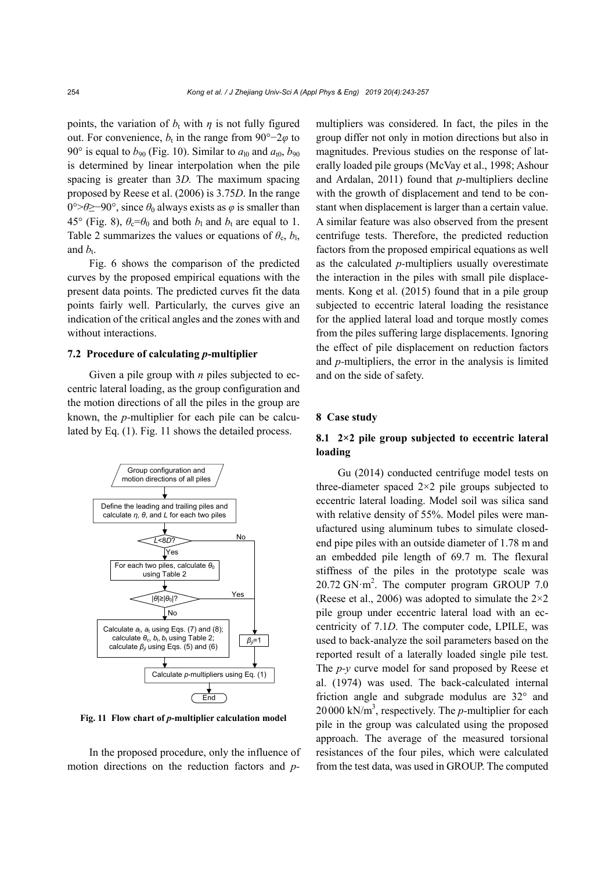points, the variation of  $b_t$  with  $\eta$  is not fully figured out. For convenience,  $b_t$  in the range from 90°–2 $\varphi$  to 90° is equal to  $b_{90}$  (Fig. 10). Similar to  $a_{10}$  and  $a_{10}$ ,  $b_{90}$ is determined by linear interpolation when the pile spacing is greater than 3*D.* The maximum spacing proposed by Reese et al. (2006) is 3.75*D*. In the range 0°>*θ*≥−90°, since *θ*0 always exists as *φ* is smaller than 45° (Fig. 8),  $\theta_c = \theta_0$  and both  $b_1$  and  $b_t$  are equal to 1. Table 2 summarizes the values or equations of  $\theta_c$ ,  $b_l$ , and  $b_t$ .

Fig. 6 shows the comparison of the predicted curves by the proposed empirical equations with the present data points. The predicted curves fit the data points fairly well. Particularly, the curves give an indication of the critical angles and the zones with and without interactions.

### **7.2 Procedure of calculating** *p***-multiplier**

Given a pile group with *n* piles subjected to eccentric lateral loading, as the group configuration and the motion directions of all the piles in the group are known, the *p-*multiplier for each pile can be calculated by Eq. (1). Fig. 11 shows the detailed process.



**Fig. 11 Flow chart of** *p***-multiplier calculation model** 

In the proposed procedure, only the influence of motion directions on the reduction factors and *p-* multipliers was considered. In fact, the piles in the group differ not only in motion directions but also in magnitudes. Previous studies on the response of laterally loaded pile groups (McVay et al., 1998; Ashour and Ardalan, 2011) found that *p*-multipliers decline with the growth of displacement and tend to be constant when displacement is larger than a certain value. A similar feature was also observed from the present centrifuge tests. Therefore, the predicted reduction factors from the proposed empirical equations as well as the calculated *p-*multipliers usually overestimate the interaction in the piles with small pile displacements. Kong et al. (2015) found that in a pile group subjected to eccentric lateral loading the resistance for the applied lateral load and torque mostly comes from the piles suffering large displacements. Ignoring the effect of pile displacement on reduction factors and *p-*multipliers, the error in the analysis is limited and on the side of safety.

### **8 Case study**

### **8.1 2×2 pile group subjected to eccentric lateral loading**

Gu (2014) conducted centrifuge model tests on three-diameter spaced  $2\times 2$  pile groups subjected to eccentric lateral loading. Model soil was silica sand with relative density of 55%. Model piles were manufactured using aluminum tubes to simulate closedend pipe piles with an outside diameter of 1.78 m and an embedded pile length of 69.7 m. The flexural stiffness of the piles in the prototype scale was  $20.72$  GN·m<sup>2</sup>. The computer program GROUP 7.0 (Reese et al., 2006) was adopted to simulate the  $2\times 2$ pile group under eccentric lateral load with an eccentricity of 7.1*D*. The computer code, LPILE, was used to back-analyze the soil parameters based on the reported result of a laterally loaded single pile test. The *p-y* curve model for sand proposed by Reese et al. (1974) was used. The back-calculated internal friction angle and subgrade modulus are 32° and  $20000 \text{ kN/m}^3$ , respectively. The *p*-multiplier for each pile in the group was calculated using the proposed approach. The average of the measured torsional resistances of the four piles, which were calculated from the test data, was used in GROUP. The computed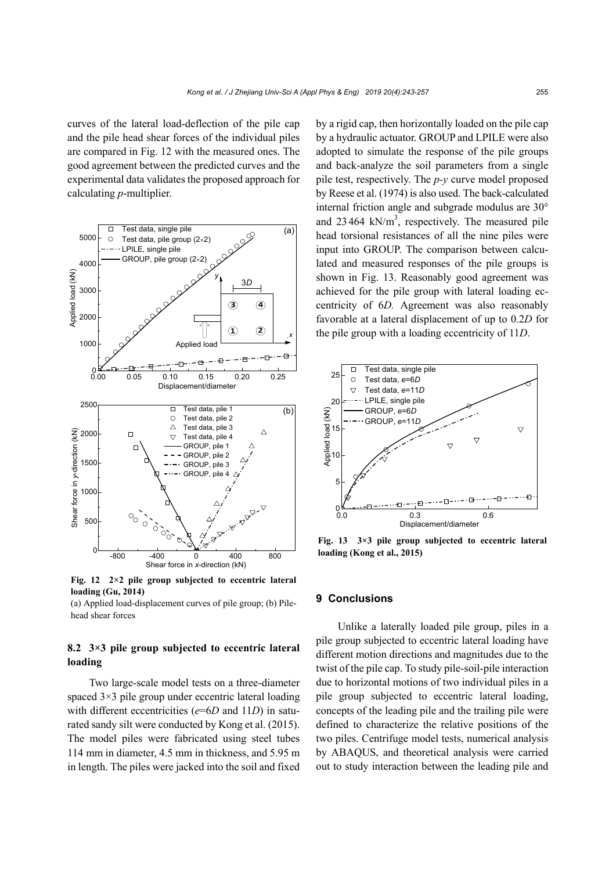curves of the lateral load-deflection of the pile cap and the pile head shear forces of the individual piles are compared in Fig. 12 with the measured ones. The good agreement between the predicted curves and the experimental data validates the proposed approach for calculating *p*-multiplier.



**Fig. 12 2×2 pile group subjected to eccentric lateral loading (Gu, 2014)** 

(a) Applied load-displacement curves of pile group; (b) Pilehead shear forces

### **8.2 3×3 pile group subjected to eccentric lateral loading**

Two large-scale model tests on a three-diameter spaced 3×3 pile group under eccentric lateral loading with different eccentricities ( $e=6D$  and 11*D*) in saturated sandy silt were conducted by Kong et al. (2015). The model piles were fabricated using steel tubes 114 mm in diameter, 4.5 mm in thickness, and 5.95 m in length. The piles were jacked into the soil and fixed by a rigid cap, then horizontally loaded on the pile cap by a hydraulic actuator. GROUP and LPILE were also adopted to simulate the response of the pile groups and back-analyze the soil parameters from a single pile test, respectively. The *p-y* curve model proposed by Reese et al. (1974) is also used. The back-calculated internal friction angle and subgrade modulus are 30° and  $23464$  kN/m<sup>3</sup>, respectively. The measured pile head torsional resistances of all the nine piles were input into GROUP. The comparison between calculated and measured responses of the pile groups is shown in Fig. 13. Reasonably good agreement was achieved for the pile group with lateral loading eccentricity of 6*D.* Agreement was also reasonably favorable at a lateral displacement of up to 0.2*D* for the pile group with a loading eccentricity of 11*D*.



**Fig. 13 3×3 pile group subjected to eccentric lateral loading (Kong et al., 2015)** 

### **9 Conclusions**

Unlike a laterally loaded pile group, piles in a pile group subjected to eccentric lateral loading have different motion directions and magnitudes due to the twist of the pile cap. To study pile-soil-pile interaction due to horizontal motions of two individual piles in a pile group subjected to eccentric lateral loading, concepts of the leading pile and the trailing pile were defined to characterize the relative positions of the two piles. Centrifuge model tests, numerical analysis by ABAQUS, and theoretical analysis were carried out to study interaction between the leading pile and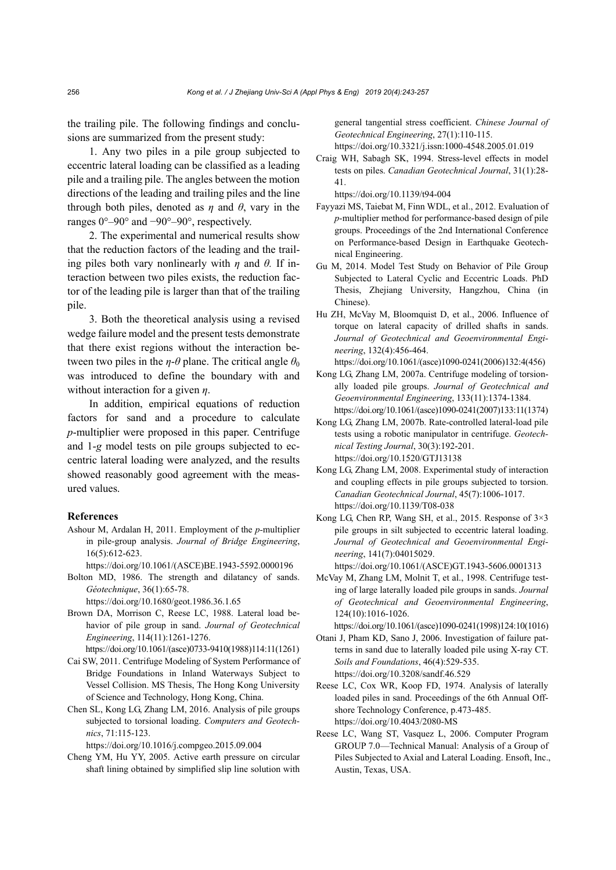the trailing pile. The following findings and conclusions are summarized from the present study:

1. Any two piles in a pile group subjected to eccentric lateral loading can be classified as a leading pile and a trailing pile. The angles between the motion directions of the leading and trailing piles and the line through both piles, denoted as  $\eta$  and  $\theta$ , vary in the ranges 0°–90° and −90°–90°, respectively.

2. The experimental and numerical results show that the reduction factors of the leading and the trailing piles both vary nonlinearly with *η* and *θ.* If interaction between two piles exists, the reduction factor of the leading pile is larger than that of the trailing pile.

3. Both the theoretical analysis using a revised wedge failure model and the present tests demonstrate that there exist regions without the interaction between two piles in the *η*-*θ* plane. The critical angle  $\theta_0$ was introduced to define the boundary with and without interaction for a given *η*.

In addition, empirical equations of reduction factors for sand and a procedure to calculate *p*-multiplier were proposed in this paper. Centrifuge and 1-*g* model tests on pile groups subjected to eccentric lateral loading were analyzed, and the results showed reasonably good agreement with the measured values.

### **References**

Ashour M, Ardalan H, 2011. Employment of the *p-*multiplier in pile-group analysis. *Journal of Bridge Engineering*, 16(5):612-623.

https://doi.org/10.1061/(ASCE)BE.1943-5592.0000196

Bolton MD, 1986. The strength and dilatancy of sands. *Géotechnique*, 36(1):65-78.

https://doi.org/10.1680/geot.1986.36.1.65

Brown DA, Morrison C, Reese LC, 1988. Lateral load behavior of pile group in sand. *Journal of Geotechnical Engineering*, 114(11):1261-1276.

https://doi.org/10.1061/(asce)0733-9410(1988)114:11(1261)

- Cai SW, 2011. Centrifuge Modeling of System Performance of Bridge Foundations in Inland Waterways Subject to Vessel Collision. MS Thesis, The Hong Kong University of Science and Technology, Hong Kong, China.
- Chen SL, Kong LG, Zhang LM, 2016. Analysis of pile groups subjected to torsional loading. *Computers and Geotechnics*, 71:115-123.

https://doi.org/10.1016/j.compgeo.2015.09.004

Cheng YM, Hu YY, 2005. Active earth pressure on circular shaft lining obtained by simplified slip line solution with

general tangential stress coefficient. *Chinese Journal of Geotechnical Engineering*, 27(1):110-115. https://doi.org/10.3321/j.issn:1000-4548.2005.01.019

Craig WH, Sabagh SK, 1994. Stress-level effects in model tests on piles. *Canadian Geotechnical Journal*, 31(1):28- 41.

https://doi.org/10.1139/t94-004

- Fayyazi MS, Taiebat M, Finn WDL, et al., 2012. Evaluation of *p-*multiplier method for performance-based design of pile groups. Proceedings of the 2nd International Conference on Performance-based Design in Earthquake Geotechnical Engineering.
- Gu M, 2014. Model Test Study on Behavior of Pile Group Subjected to Lateral Cyclic and Eccentric Loads. PhD Thesis, Zhejiang University, Hangzhou, China (in Chinese).
- Hu ZH, McVay M, Bloomquist D, et al., 2006. Influence of torque on lateral capacity of drilled shafts in sands. *Journal of Geotechnical and Geoenvironmental Engineering*, 132(4):456-464. https://doi.org/10.1061/(asce)1090-0241(2006)132:4(456)
- Kong LG, Zhang LM, 2007a. Centrifuge modeling of torsionally loaded pile groups. *Journal of Geotechnical and Geoenvironmental Engineering*, 133(11):1374-1384. https://doi.org/10.1061/(asce)1090-0241(2007)133:11(1374)
- Kong LG, Zhang LM, 2007b. Rate-controlled lateral-load pile tests using a robotic manipulator in centrifuge. *Geotechnical Testing Journal*, 30(3):192-201. https://doi.org/10.1520/GTJ13138
- Kong LG, Zhang LM, 2008. Experimental study of interaction and coupling effects in pile groups subjected to torsion. *Canadian Geotechnical Journal*, 45(7):1006-1017. https://doi.org/10.1139/T08-038
- Kong LG, Chen RP, Wang SH, et al., 2015. Response of 3×3 pile groups in silt subjected to eccentric lateral loading. *Journal of Geotechnical and Geoenvironmental Engineering*, 141(7):04015029.

https://doi.org/10.1061/(ASCE)GT.1943-5606.0001313

McVay M, Zhang LM, Molnit T, et al., 1998. Centrifuge testing of large laterally loaded pile groups in sands. *Journal of Geotechnical and Geoenvironmental Engineering*, 124(10):1016-1026.

https://doi.org/10.1061/(asce)1090-0241(1998)124:10(1016)

- Otani J, Pham KD, Sano J, 2006. Investigation of failure patterns in sand due to laterally loaded pile using X-ray CT. *Soils and Foundations*, 46(4):529-535. https://doi.org/10.3208/sandf.46.529
- Reese LC, Cox WR, Koop FD, 1974. Analysis of laterally loaded piles in sand. Proceedings of the 6th Annual Offshore Technology Conference, p.473-485. https://doi.org/10.4043/2080-MS
- Reese LC, Wang ST, Vasquez L, 2006. Computer Program GROUP 7.0—Technical Manual: Analysis of a Group of Piles Subjected to Axial and Lateral Loading. Ensoft, Inc., Austin, Texas, USA.